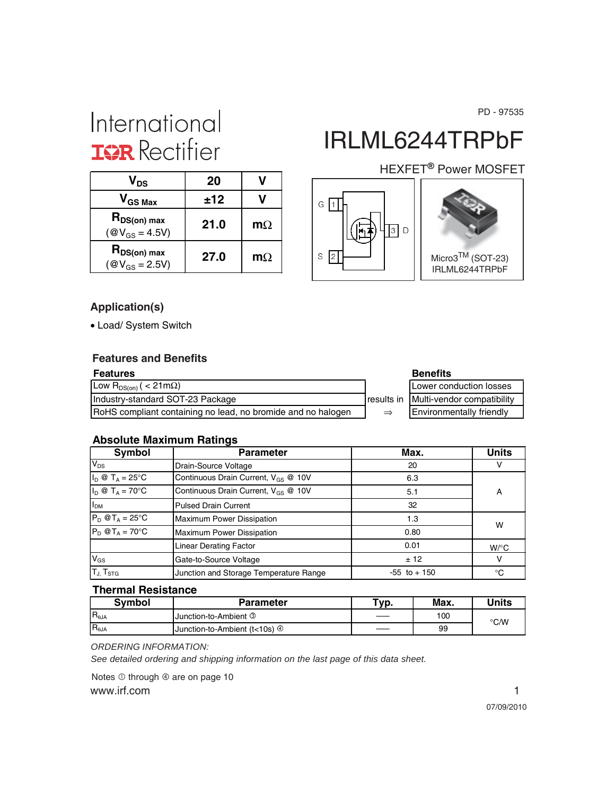PD - 97535

# International **IGR** Rectifier

| V <sub>DS</sub>                               | 20   |           |
|-----------------------------------------------|------|-----------|
| $V_{GS\,Max}$                                 | ±12  |           |
| $R_{DS(on) max}$<br>$(\text{@V}_{GS} = 4.5V)$ | 21.0 | $m\Omega$ |
| $R_{DS(on) max}$<br>$(\text{@V}_{GS} = 2.5V)$ | 27.0 | $m\Omega$ |

# IRLML6244TRPbF

### HEXFET<sup>®</sup> Power MOSFET





### **Application(s)**

• Load/ System Switch

#### **Features and Benefits**

| <b>Features</b>                                              |               | <b>Benefits</b>                         |
|--------------------------------------------------------------|---------------|-----------------------------------------|
| Low R <sub>DS(on)</sub> ( < 21m $\Omega$ )                   |               | Lower conduction losses                 |
| Industry-standard SOT-23 Package                             |               | results in   Multi-vendor compatibility |
| RoHS compliant containing no lead, no bromide and no halogen | $\Rightarrow$ | <b>Environmentally friendly</b>         |

| Lower conduction losses       |  |  |  |  |
|-------------------------------|--|--|--|--|
| in Multi-vendor compatibility |  |  |  |  |
| Environmentally friendly      |  |  |  |  |

#### **Absolute Maximum Ratings**

| Symbol                                                           | <b>Parameter</b>                         | Max.            | <b>Units</b> |
|------------------------------------------------------------------|------------------------------------------|-----------------|--------------|
| $V_{DS}$                                                         | Drain-Source Voltage                     | 20              | v            |
| $I_D \otimes T_A = 25^\circ C$                                   | Continuous Drain Current, $V_{GS}$ @ 10V | 6.3             |              |
| $I_D \otimes T_A = 70$ °C                                        | Continuous Drain Current, $V_{GS}$ @ 10V | 5.1             | А            |
| I <sub>DM</sub>                                                  | Pulsed Drain Current                     | 32              |              |
| $P_D$ @T <sub>A</sub> = 25°C                                     | <b>Maximum Power Dissipation</b>         | 1.3             |              |
| $P_D$ @T <sub>A</sub> = 70°C<br><b>Maximum Power Dissipation</b> |                                          | 0.80            | W            |
|                                                                  | <b>Linear Derating Factor</b>            | 0.01            | $W$ /°C      |
| $V_{GS}$                                                         | Gate-to-Source Voltage                   | ± 12            | v            |
| T <sub>J, TstG</sub>                                             | Junction and Storage Temperature Range   | $-55$ to $+150$ | °C           |

#### **Thermal Resistance**

| <b>Symbol</b>  | Parameter                                           | "vp. | Max. | Jnits |
|----------------|-----------------------------------------------------|------|------|-------|
| $R_{\theta$ JA | <b>Junction-to-Ambient 3</b>                        | ___  | 100  | °C/W  |
| $R_{\theta$ JA | <b>Junction-to-Ambient (t&lt;10s)</b> $\circled{0}$ | ____ | 99   |       |

*ORDERING INFORMATION:*

*See detailed ordering and shipping information on the last page of this data sheet.*

www.irf.com 1 Notes  $\overline{0}$  through  $\overline{0}$  are on page 10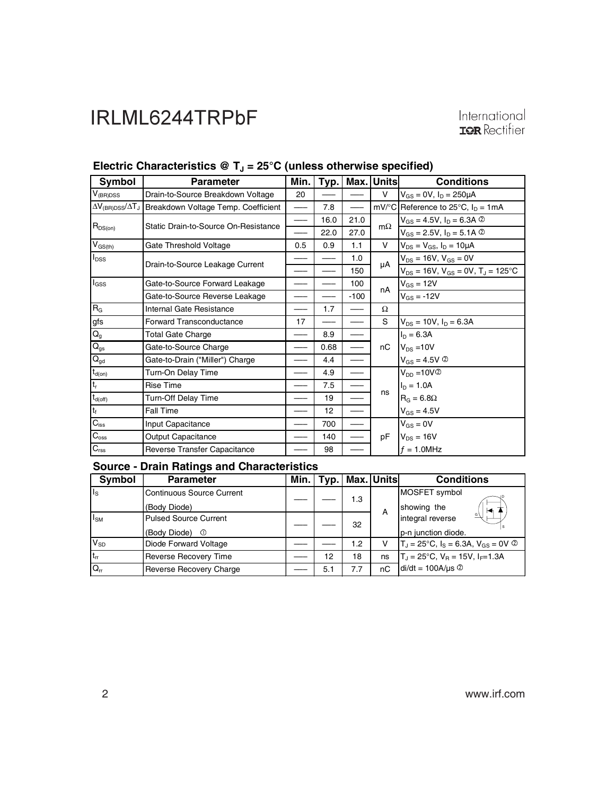| <b>Symbol</b>                             | <b>Parameter</b>                     | Min. | Typ. | Max.   | Units     | <b>Conditions</b>                               |
|-------------------------------------------|--------------------------------------|------|------|--------|-----------|-------------------------------------------------|
| $V_{(BR)DSS}$                             | Drain-to-Source Breakdown Voltage    | 20   |      |        | V         | $V_{GS} = 0V$ , $I_D = 250 \mu A$               |
| $\Delta V_{\rm (BR)DSS}/\Delta T_{\rm J}$ | Breakdown Voltage Temp. Coefficient  |      | 7.8  |        |           | mV/°C Reference to 25°C, $I_D = 1mA$            |
|                                           | Static Drain-to-Source On-Resistance |      | 16.0 | 21.0   | $m\Omega$ | $V_{GS} = 4.5V$ , $I_D = 6.3A$ 2                |
| $R_{DS(on)}$                              |                                      | —    | 22.0 | 27.0   |           | $V_{GS} = 2.5V$ , $I_D = 5.1A$ 2                |
| $V_{GS(th)}$                              | Gate Threshold Voltage               | 0.5  | 0.9  | 1.1    | V         | $V_{DS} = V_{GS}$ , $I_D = 10 \mu A$            |
| $I_{DSS}$                                 | Drain-to-Source Leakage Current      |      |      | 1.0    | μA        | $V_{DS}$ = 16V, $V_{GS}$ = 0V                   |
|                                           |                                      |      |      | 150    |           | $V_{DS} = 16V$ , $V_{GS} = 0V$ , $T_J = 125$ °C |
| $I_{GSS}$                                 | Gate-to-Source Forward Leakage       |      |      | 100    | nA        | $V_{GS} = 12V$                                  |
|                                           | Gate-to-Source Reverse Leakage       |      |      | $-100$ |           | $V_{GS} = -12V$                                 |
| $R_G$                                     | Internal Gate Resistance             |      | 1.7  |        | Ω         |                                                 |
| gfs                                       | Forward Transconductance             | 17   |      |        | S         | $V_{DS} = 10V$ , $I_D = 6.3A$                   |
| $Q_{g}$                                   | Total Gate Charge                    |      | 8.9  |        |           | $I_D = 6.3A$                                    |
| $Q_{gs}$                                  | Gate-to-Source Charge                |      | 0.68 |        | пC        | $V_{DS}$ = 10V                                  |
| $Q_{gd}$                                  | Gate-to-Drain ("Miller") Charge      |      | 4.4  |        |           | $V_{GS} = 4.5V$ <sup>②</sup>                    |
| $t_{d(on)}$                               | Turn-On Delay Time                   |      | 4.9  |        |           | $V_{DD} = 10V$ <sup>2</sup>                     |
| t,                                        | Rise Time                            |      | 7.5  |        |           | $I_D = 1.0A$                                    |
| $t_{d(off)}$                              | Turn-Off Delay Time                  |      | 19   |        | ns        | $R_G = 6.8\Omega$                               |
| $t_f$                                     | <b>Fall Time</b>                     |      | 12   |        |           | $V_{GS} = 4.5V$                                 |
| $C_{\text{iss}}$                          | Input Capacitance                    |      | 700  |        |           | $V_{GS} = 0V$                                   |
| $C_{\text{oss}}$                          | <b>Output Capacitance</b>            |      | 140  |        | pF        | $V_{DS} = 16V$                                  |
| $C_{\text{rss}}$                          | Reverse Transfer Capacitance         |      | 98   |        |           | $f = 1.0$ MHz                                   |

### Electric Characteristics @ T<sub>J</sub> = 25°C (unless otherwise specified)

#### **Source - Drain Ratings and Characteristics**

| Symbol                  | <b>Parameter</b>                 | Min. |     |     | Typ.   Max. Units | <b>Conditions</b>                                    |
|-------------------------|----------------------------------|------|-----|-----|-------------------|------------------------------------------------------|
| $\mathsf{I}_\mathsf{S}$ | <b>Continuous Source Current</b> |      |     | 1.3 |                   | MOSFET symbol                                        |
|                         | (Body Diode)                     |      |     |     | A                 | showing the<br>м                                     |
| $I_{\text{SM}}$         | <b>Pulsed Source Current</b>     |      |     | 32  |                   | integral reverse                                     |
|                         | (Body Diode)<br>$\circ$          |      |     |     |                   | p-n junction diode.                                  |
| $V_{SD}$                | Diode Forward Voltage            |      |     | 1.2 | v                 | $T_J = 25^{\circ}C$ , $I_S = 6.3A$ , $V_{GS} = 0V$ 2 |
| $t_{rr}$                | Reverse Recovery Time            |      | 12  | 18  | ns                | $T_J = 25^{\circ}C$ , $V_B = 15V$ , $I_F = 1.3A$     |
| $Q_{rr}$                | Reverse Recovery Charge          |      | 5.1 | 7.7 | nC                | $di/dt = 100A/\mu s$ <sup>②</sup>                    |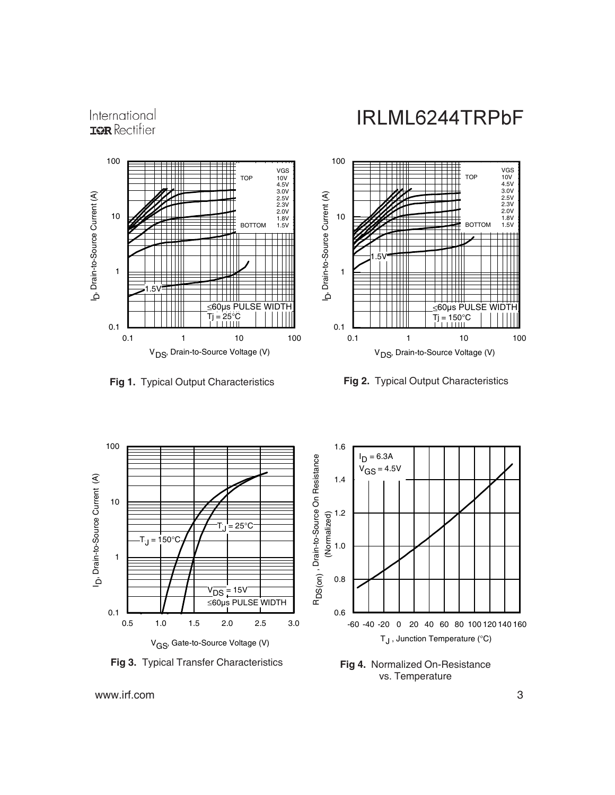







www.irf.com 3

International **IOR** Rectifier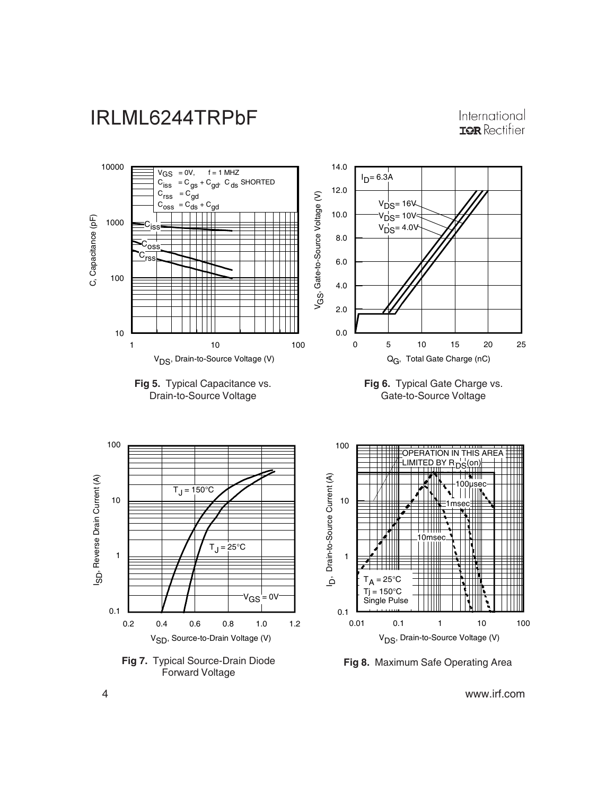

International **IOR** Rectifier

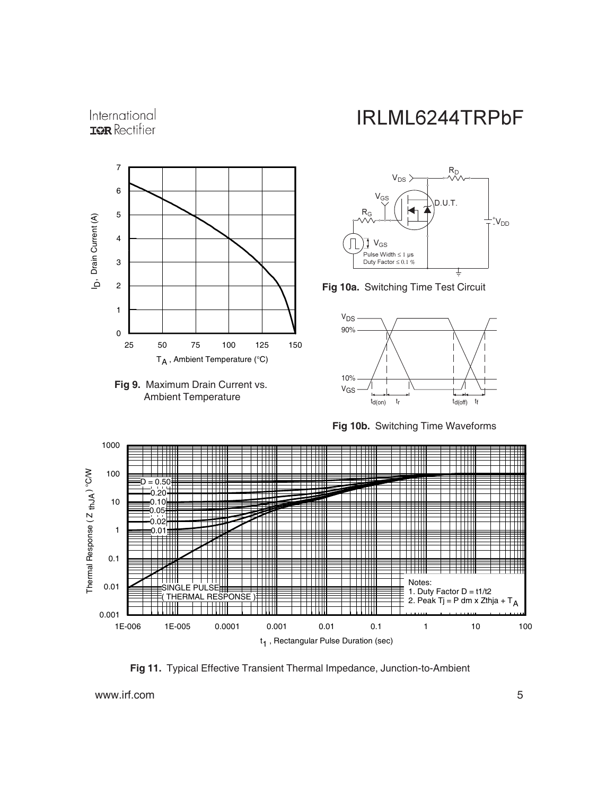#### International **IQR** Rectifier





# IRLML6244TRPbF



**Fig 10a.** Switching Time Test Circuit



**Fig 10b.** Switching Time Waveforms



**Fig 11.** Typical Effective Transient Thermal Impedance, Junction-to-Ambient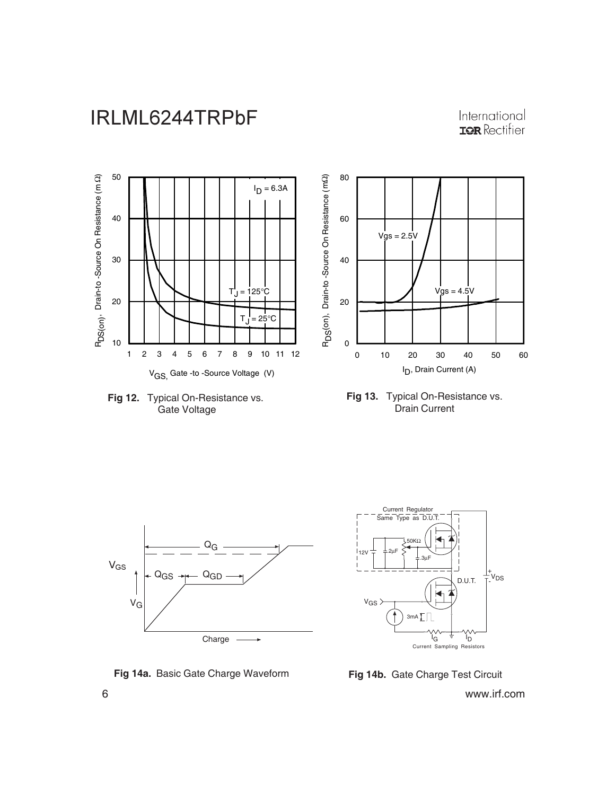International **IQR** Rectifier













**Fig 14a.** Basic Gate Charge Waveform **Fig 14b.** Gate Charge Test Circuit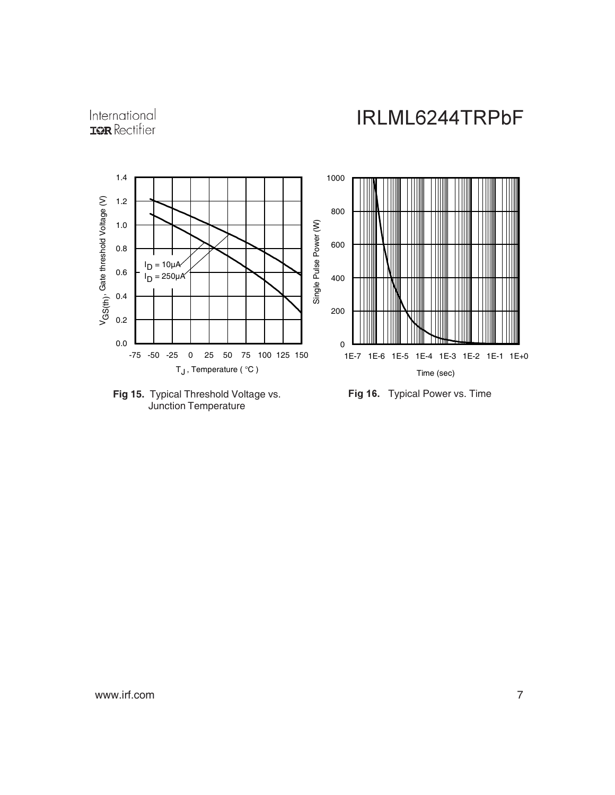





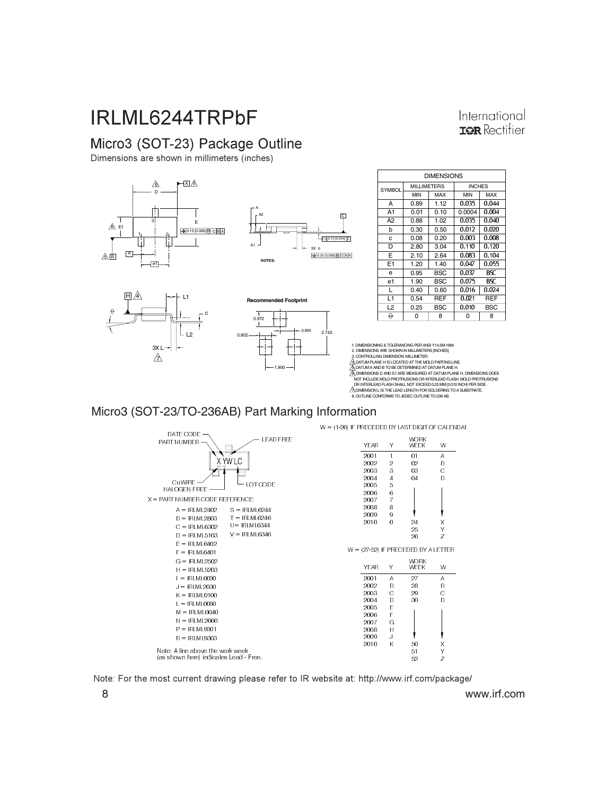### Micro3 (SOT-23) Package Outline

Dimensions are shown in millimeters (inches)



| <b>DIMENSIONS</b> |                    |            |               |            |
|-------------------|--------------------|------------|---------------|------------|
| <b>SYMBOL</b>     | <b>MILLIMETERS</b> |            | <b>INCHES</b> |            |
|                   | <b>MIN</b>         | MAX        | <b>MIN</b>    | MAX        |
| А                 | 0.89               | 1.12       | 0.035         | 0.044      |
| A1                | 0.01               | 0.10       | 0.0004        | 0.004      |
| A2                | 0.88               | 1.02       | 0.035         | 0.040      |
| b                 | 0.30               | 0.50       | 0.012         | 0.020      |
| C                 | 0.08               | 0.20       | 0.003         | 0.008      |
| D                 | 2.80               | 3.04       | 0.110         | 0.120      |
| Е                 | 2.10               | 2.64       | 0.083         | 0.104      |
| E <sub>1</sub>    | 1.20               | 1.40       | 0.047         | 0.055      |
| e                 | 0.95               | BSC        | 0.037         | BSC        |
| e1                | 1.90               | <b>BSC</b> | 0.075         | BSC        |
| L                 | 0.40               | 0.60       | 0.016         | 0.024      |
| L1                | 0.54               | REF        | 0.021         | REF        |
| L <sub>2</sub>    | 0.25               | <b>BSC</b> | 0.010         | <b>BSC</b> |
| A                 | U                  | 8          | n             | 8          |

International **ISR** Rectifier

1. DIMENSIONING & TOLERANCING PER ANSI Y14.5M-1994 2. DIMENSIONS ARE SHOWN IN MILLIMETERS [INCHES]. 3. CONTROLLING DIMENSION: MILLIMETER.<br>4 DATUM PLANE HIS LOCATED AT THE MOLD PARTING LINE. ΑΔΟΛΊΜΗ ΡΑΝΈ Η ISLOCATED AT THE MOLD PARTING LINE<br>ΑΔΟΛΊΜΗ ΡΑΝΈ Η SUCCATED AT THE MOLD PARTING LINE<br>ΑΔΟΛΊΡΙΟΣΟΝ SU AND ET ARE MEASURED AT DATUM PLANE H. DIMENSIONS DOES<br>NOT INCLUDE MOLD PROTRUSIONS OR INTERLEAD FLASH MOLD

#### Micro3 (SOT-23/TO-236AB) Part Marking Information



Note: For the most current drawing please refer to IR website at: http://www.irf.com/package/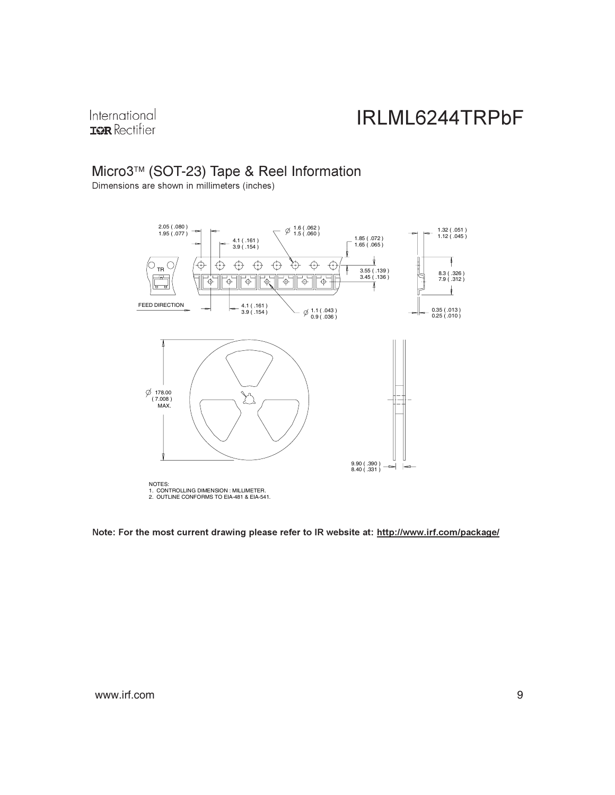International **IQR** Rectifier

### Micro3™ (SOT-23) Tape & Reel Information

Dimensions are shown in millimeters (inches)



Note: For the most current drawing please refer to IR website at: <u>http://www.irf.com/package/</u>